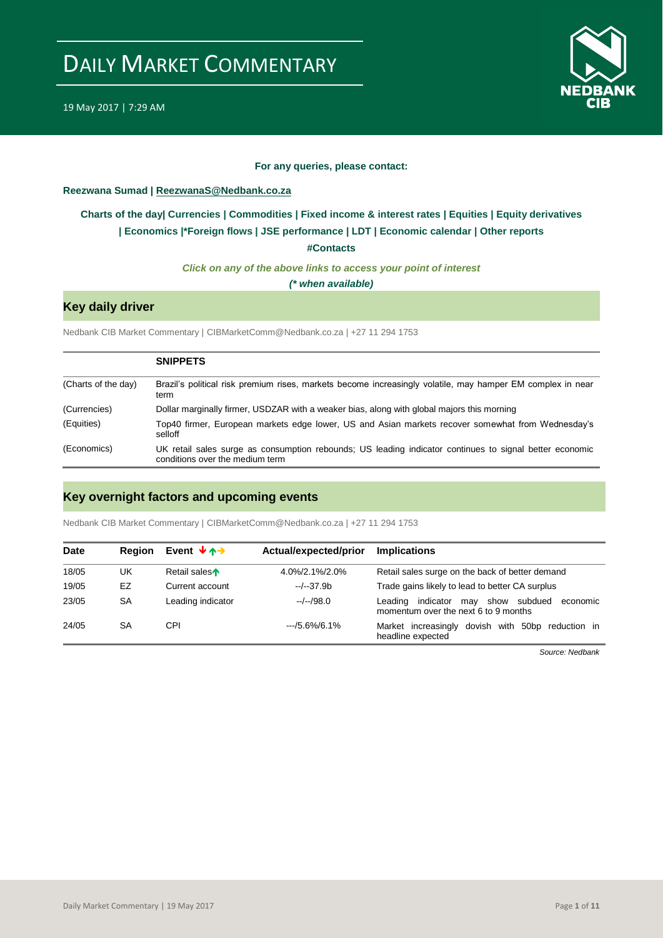

### **For any queries, please contact:**

### <span id="page-0-0"></span>**Reezwana Sumad | ReezwanaS@Nedbank.co.za**

### **[Charts of the day|](#page-1-0) [Currencies](#page-2-0) [| Commodities](#page-3-0) | [Fixed income &](#page-4-0) interest rates | [Equities](#page-5-0) | Equity derivatives | [Economics](#page-6-0) |\*Foreign flows | [JSE performance](#page-7-0) | [LDT](#page-8-0) | [Economic calendar](#page-8-1) | Other reports**

**[#Contacts](#page-9-0)**

*Click on any of the above links to access your point of interest*

*(\* when available)*

### **Key daily driver**

Nedbank CIB Market Commentary | CIBMarketComm@Nedbank.co.za | +27 11 294 1753

|                     | <b>SNIPPETS</b>                                                                                                                            |
|---------------------|--------------------------------------------------------------------------------------------------------------------------------------------|
| (Charts of the day) | Brazil's political risk premium rises, markets become increasingly volatile, may hamper EM complex in near<br>term                         |
| (Currencies)        | Dollar marginally firmer, USDZAR with a weaker bias, along with global majors this morning                                                 |
| (Equities)          | Top40 firmer, European markets edge lower, US and Asian markets recover somewhat from Wednesday's<br>selloff                               |
| (Economics)         | UK retail sales surge as consumption rebounds; US leading indicator continues to signal better economic<br>conditions over the medium term |

### **Key overnight factors and upcoming events**

Nedbank CIB Market Commentary | CIBMarketComm@Nedbank.co.za | +27 11 294 1753

| <b>Date</b> | Region | Event $\forall$ $\land \rightarrow$ | Actual/expected/prior | <b>Implications</b>                                                                             |
|-------------|--------|-------------------------------------|-----------------------|-------------------------------------------------------------------------------------------------|
| 18/05       | UK     | Retail sales                        | 4.0%/2.1%/2.0%        | Retail sales surge on the back of better demand                                                 |
| 19/05       | EZ     | Current account                     | $-/-37.9b$            | Trade gains likely to lead to better CA surplus                                                 |
| 23/05       | SA     | Leading indicator                   | $-/-/98.0$            | show subdued<br>indicator<br>may<br>economic<br>Leading<br>momentum over the next 6 to 9 months |
| 24/05       | SA     | CPI                                 | $-15.6\%/6.1\%$       | Market increasingly dovish with<br>50bp reduction in<br>headline expected                       |

*Source: Nedbank*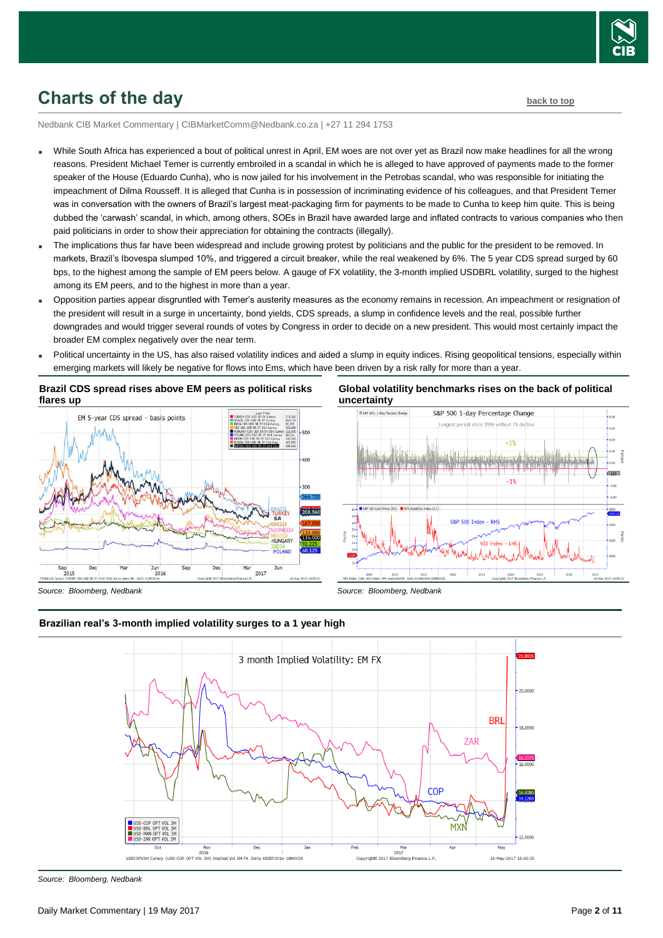

## <span id="page-1-0"></span>**Charts of the day [back to top](#page-0-0)**

Nedbank CIB Market Commentary | CIBMarketComm@Nedbank.co.za | +27 11 294 1753

- While South Africa has experienced a bout of political unrest in April, EM woes are not over yet as Brazil now make headlines for all the wrong reasons. President Michael Temer is currently embroiled in a scandal in which he is alleged to have approved of payments made to the former speaker of the House (Eduardo Cunha), who is now jailed for his involvement in the Petrobas scandal, who was responsible for initiating the impeachment of Dilma Rousseff. It is alleged that Cunha is in possession of incriminating evidence of his colleagues, and that President Temer was in conversation with the owners of Brazil's largest meat-packaging firm for payments to be made to Cunha to keep him quite. This is being dubbed the 'carwash' scandal, in which, among others, SOEs in Brazil have awarded large and inflated contracts to various companies who then paid politicians in order to show their appreciation for obtaining the contracts (illegally).
- The implications thus far have been widespread and include growing protest by politicians and the public for the president to be removed. In markets, Brazil's Ibovespa slumped 10%, and triggered a circuit breaker, while the real weakened by 6%. The 5 year CDS spread surged by 60 bps, to the highest among the sample of EM peers below. A gauge of FX volatility, the 3-month implied USDBRL volatility, surged to the highest among its EM peers, and to the highest in more than a year.
- Opposition parties appear disgruntled with Temer's austerity measures as the economy remains in recession. An impeachment or resignation of the president will result in a surge in uncertainty, bond yields, CDS spreads, a slump in confidence levels and the real, possible further downgrades and would trigger several rounds of votes by Congress in order to decide on a new president. This would most certainly impact the broader EM complex negatively over the near term.
- Political uncertainty in the US, has also raised volatility indices and aided a slump in equity indices. Rising geopolitical tensions, especially within emerging markets will likely be negative for flows into Ems, which have been driven by a risk rally for more than a year.

**Brazil CDS spread rises above EM peers as political risks flares up**



#### **Global volatility benchmarks rises on the back of political uncertainty**



*Source: Bloomberg, Nedbank*



### **Brazilian real's 3-month implied volatility surges to a 1 year high**

*Source: Bloomberg, Nedbank*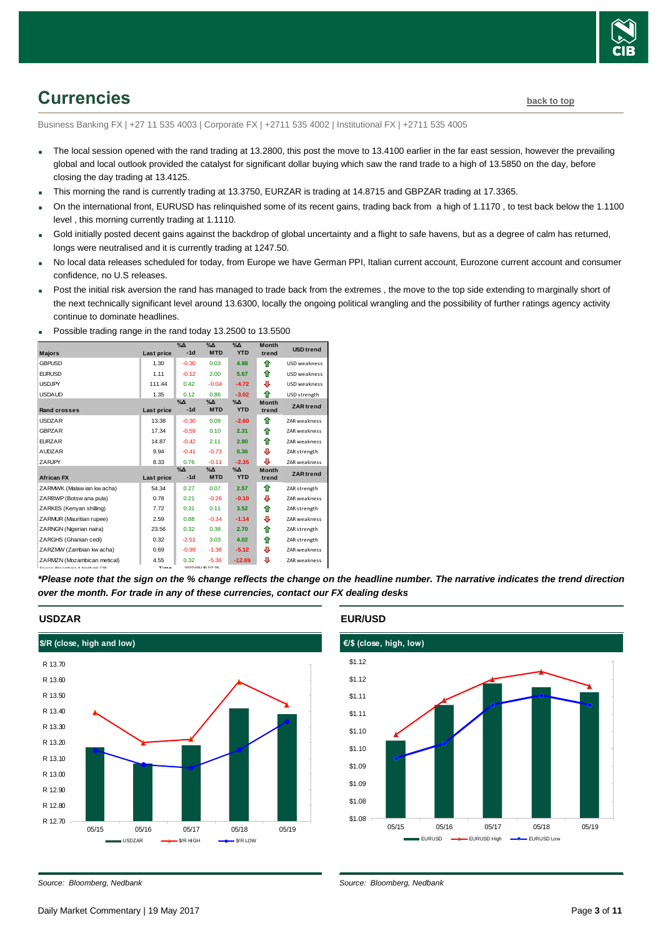

# <span id="page-2-0"></span>**Currencies [back to top](#page-0-0)**

Business Banking FX | +27 11 535 4003 | Corporate FX | +2711 535 4002 | Institutional FX | +2711 535 4005

- The local session opened with the rand trading at 13.2800, this post the move to 13.4100 earlier in the far east session, however the prevailing global and local outlook provided the catalyst for significant dollar buying which saw the rand trade to a high of 13.5850 on the day, before closing the day trading at 13.4125.
- This morning the rand is currently trading at 13.3750, EURZAR is trading at 14.8715 and GBPZAR trading at 17.3365.
- On the international front, EURUSD has relinquished some of its recent gains, trading back from a high of 1.1170 , to test back below the 1.1100 level , this morning currently trading at 1.1110.
- Gold initially posted decent gains against the backdrop of global uncertainty and a flight to safe havens, but as a degree of calm has returned, longs were neutralised and it is currently trading at 1247.50.
- No local data releases scheduled for today, from Europe we have German PPI, Italian current account, Eurozone current account and consumer confidence, no U.S releases.
- Post the initial risk aversion the rand has managed to trade back from the extremes, the move to the top side extending to marginally short of the next technically significant level around 13.6300, locally the ongoing political wrangling and the possibility of further ratings agency activity continue to dominate headlines.

|                                                                  |             | $\sqrt{\Delta}$ | $\sqrt{2}$       | $\%$ $\Delta$ | <b>Month</b> |                     |
|------------------------------------------------------------------|-------------|-----------------|------------------|---------------|--------------|---------------------|
| <b>Maiors</b>                                                    | Last price  | $-1d$           | <b>MTD</b>       | <b>YTD</b>    | trend        | <b>USD</b> trend    |
| <b>GBPUSD</b>                                                    | 1.30        | $-0.30$         | 0.03             | 4.98          | ⇑            | USD weakness        |
| <b>EURUSD</b>                                                    | 1.11        | $-0.12$         | 2.00             | 5.67          | ⇑            | USD weakness        |
| <b>USDJPY</b>                                                    | 111.44      | 0.42            | $-0.04$          | $-4.72$       | ⊕            | USD weakness        |
| <b>USDAUD</b>                                                    | 1.35        | 0.12            | 0.86             | $-3.02$       | ⇑            | USD strength        |
|                                                                  |             | $\%$ $\Delta$   | $\%$ $\Delta$    | $\%$ $\Delta$ | <b>Month</b> | <b>ZAR</b> trend    |
| <b>Rand crosses</b>                                              | Last price  | $-1d$           | <b>MTD</b>       | <b>YTD</b>    | trend        |                     |
| <b>USDZAR</b>                                                    | 13.38       | $-0.30$         | 0.09             | $-2.60$       | ♠            | ZAR weakness        |
| GBPZAR                                                           | 17.34       | $-0.59$         | 0.10             | 2.31          | ⇑            | ZAR weakness        |
| <b>FURZAR</b>                                                    | 14.87       | $-0.42$         | 2.11             | 2.90          | ⇑            | <b>ZAR</b> weakness |
| <b>AUDZAR</b>                                                    | 9.94        | $-0.41$         | $-0.73$          | 0.36          | ⊕            | ZAR strength        |
| ZARJPY                                                           | 8.33        | 0.76            | $-0.11$          | $-2.35$       | ⊕            | ZAR weakness        |
|                                                                  |             | $\%$ $\Delta$   | $\%$ $\Delta$    | $\%$ $\Delta$ | <b>Month</b> | <b>ZAR</b> trend    |
| <b>African FX</b>                                                | Last price  | $-1d$           | <b>MTD</b>       | <b>YTD</b>    | trend        |                     |
| ZARMWK (Malaw ian kw acha)                                       | 54.34       | 0.27            | 0.07             | 2.57          | ⇑            | ZAR strength        |
| ZARBWP (Botsw ana pula)                                          | 0.78        | 0.21            | $-0.26$          | $-0.10$       | ⊕            | ZAR weakness        |
| ZARKES (Kenyan shilling)                                         | 7.72        | 0.31            | 0.11             | 3.52          | ⇑            | ZAR strength        |
| ZARMUR (Mauritian rupee)                                         | 2.59        | 0.88            | $-0.34$          | $-1.14$       | ⊕            | ZAR weakness        |
| ZARNGN (Nigerian naira)                                          | 23.56       | 0.32            | 0.38             | 2.70          | ⇑            | ZAR strength        |
| ZARGHS (Ghanian cedi)                                            | 0.32        | $-2.51$         | 3.03             | 4.02          | ⇑            | ZAR strength        |
| ZARZMW (Zambian kw acha)                                         | 0.69        | $-0.99$         | $-1.38$          | $-5.12$       | ⊕            | ZAR weakness        |
| ZARMZN (Mozambican metical)                                      | 4.55        | 0.32            | $-5.36$          | $-12.69$      | ⊕            | ZAR weakness        |
| Correspondent Characteristics Canada Canada Canada Canada Canada | <b>Time</b> |                 | 2017/05/10 07:25 |               |              |                     |

Possible trading range in the rand today 13.2500 to 13.5500

*\*Please note that the sign on the % change reflects the change on the headline number. The narrative indicates the trend direction over the month. For trade in any of these currencies, contact our FX dealing desks*

### **USDZAR**



### **EUR/USD**

*Source: Bloomberg, Nedbank*



*Source: Bloomberg, Nedbank*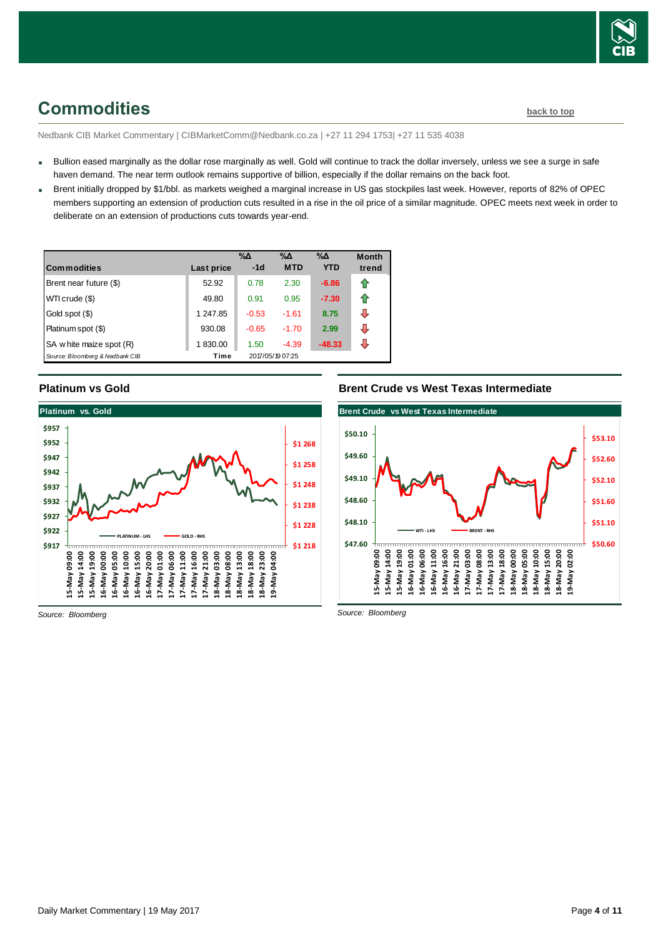

## <span id="page-3-0"></span>**Commodities [back to top](#page-0-0)**

Nedbank CIB Market Commentary | CIBMarketComm@Nedbank.co.za | +27 11 294 1753| +27 11 535 4038

- Bullion eased marginally as the dollar rose marginally as well. Gold will continue to track the dollar inversely, unless we see a surge in safe haven demand. The near term outlook remains supportive of billion, especially if the dollar remains on the back foot.
- Brent initially dropped by \$1/bbl. as markets weighed a marginal increase in US gas stockpiles last week. However, reports of 82% of OPEC members supporting an extension of production cuts resulted in a rise in the oil price of a similar magnitude. OPEC meets next week in order to deliberate on an extension of productions cuts towards year-end.

| <b>Commodities</b>              | Last price | $\% \Delta$<br>$-1d$ | %Δ<br><b>MTD</b> | $\% \Delta$<br><b>YTD</b> | <b>Month</b><br>trend |
|---------------------------------|------------|----------------------|------------------|---------------------------|-----------------------|
|                                 |            |                      |                  |                           |                       |
| Brent near future (\$)          | 52.92      | 0.78                 | 2.30             | $-6.86$                   | ⇑                     |
| WTI crude (\$)                  | 49.80      | 0.91                 | 0.95             | $-7.30$                   | ⇑                     |
| Gold spot (\$)                  | 1 247.85   | $-0.53$              | $-1.61$          | 8.75                      | ⇩                     |
| Platinum spot (\$)              | 930.08     | $-0.65$              | $-1.70$          | 2.99                      | ⊕                     |
| SA w hite maize spot (R)        | 1830.00    | 1.50                 | $-4.39$          | $-48.33$                  | J                     |
| Source: Bloomberg & Nedbank CIB | Time       |                      | 2017/05/19 07:25 |                           |                       |

### **Platinum vs Gold**



**Brent Crude vs West Texas Intermediate**



*Source: Bloomberg*

*Source: Bloomberg*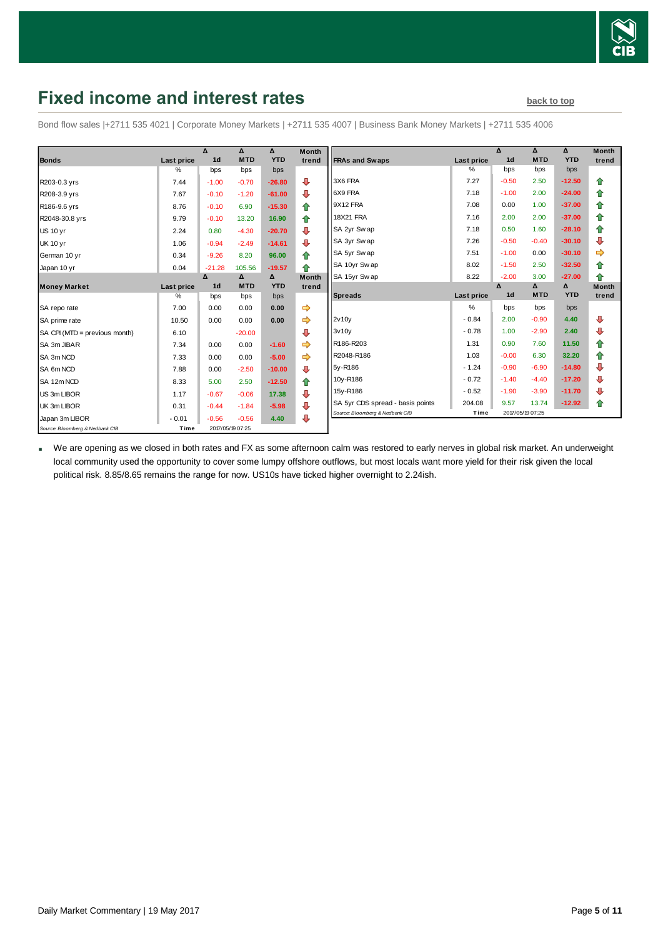

# <span id="page-4-0"></span>**Fixed income and interest rates [back to top](#page-0-0)** back to top

Bond flow sales |+2711 535 4021 | Corporate Money Markets | +2711 535 4007 | Business Bank Money Markets | +2711 535 4006

|                                 |            | $\Lambda$      | $\Lambda$        | Δ          | <b>Month</b> |
|---------------------------------|------------|----------------|------------------|------------|--------------|
| <b>Bonds</b>                    | Last price | 1 <sub>d</sub> | <b>MTD</b>       | <b>YTD</b> | trend        |
|                                 | $\%$       | bps            | bps              | bps        |              |
| R203-0.3 yrs                    | 7.44       | $-1.00$        | $-0.70$          | $-26.80$   | ⊕            |
| R208-3.9 yrs                    | 7.67       | $-0.10$        | $-1.20$          | $-61.00$   | ⊕            |
| R186-9.6 yrs                    | 8.76       | $-0.10$        | 6.90             | $-15.30$   | ⇑            |
| R2048-30.8 yrs                  | 9.79       | $-0.10$        | 13.20            | 16.90      | 合            |
| <b>US 10 vr</b>                 | 2.24       | 0.80           | $-4.30$          | $-20.70$   | ⊕            |
| <b>UK 10 yr</b>                 | 1.06       | $-0.94$        | $-2.49$          | $-14.61$   | ⊕            |
| German 10 yr                    | 0.34       | $-9.26$        | 8.20             | 96.00      | 合            |
| Japan 10 yr                     | 0.04       | $-21.28$       | 105.56           | $-19.57$   | ♠            |
|                                 |            | Δ              | Δ                | Δ          | <b>Month</b> |
| <b>Money Market</b>             | Last price | 1 <sub>d</sub> | <b>MTD</b>       | <b>YTD</b> | trend        |
|                                 | $\%$       | bps            | bps              | bps        |              |
| SA repo rate                    | 7.00       | 0.00           | 0.00             | 0.00       | ⇛            |
| SA prime rate                   | 10.50      | 0.00           | 0.00             | 0.00       | ⇨            |
| SA CPI (MTD = previous month)   | 6.10       |                | $-20.00$         |            | ⊕            |
| SA 3m JIBAR                     | 7.34       | 0.00           | 0.00             | $-1.60$    |              |
| SA 3m NCD                       | 7.33       | 0.00           | 0.00             | $-5.00$    |              |
| SA 6m NCD                       | 7.88       | 0.00           | $-2.50$          | $-10.00$   | ⊕            |
| SA 12m NCD                      | 8.33       | 5.00           | 2.50             | $-12.50$   | ⇑            |
| US 3m LIBOR                     | 1.17       | $-0.67$        | $-0.06$          | 17.38      | ⊕            |
| UK 3m LIBOR                     | 0.31       | $-0.44$        | $-1.84$          | $-5.98$    | ⊕            |
| Japan 3m LIBOR                  | $-0.01$    | $-0.56$        | $-0.56$          | 4.40       | ⊕            |
| Source: Bloomberg & Nedbank CIB | Time       |                | 2017/05/19 07:25 |            |              |

|                                  |            | Δ              | Δ          | Δ          | <b>Month</b> |
|----------------------------------|------------|----------------|------------|------------|--------------|
| <b>FRAs and Swaps</b>            | Last price | 1 <sub>d</sub> | <b>MTD</b> | <b>YTD</b> | trend        |
|                                  | %          | bps            | bps        | bps        |              |
| 3X6 FRA                          | 7.27       | $-0.50$        | 2.50       | $-12.50$   | ⇑            |
| 6X9 FRA                          | 7.18       | $-1.00$        | 2.00       | $-24.00$   | ✿            |
| 9X12 FRA                         | 7.08       | 0.00           | 1.00       | $-37.00$   | 合            |
| <b>18X21 FRA</b>                 | 7.16       | 2.00           | 2.00       | $-37.00$   | 合            |
| SA 2yr Swap                      | 7.18       | 0.50           | 1.60       | $-28.10$   | 合            |
| SA 3yr Swap                      | 7.26       | $-0.50$        | $-0.40$    | $-30.10$   | ⊕            |
| SA 5yr Sw ap                     | 7.51       | $-1.00$        | 0.00       | $-30.10$   | ⇛            |
| SA 10yr Swap                     | 8.02       | $-1.50$        | 2.50       | $-32.50$   | ⇮            |
| SA 15yr Sw ap                    | 8.22       | $-2.00$        | 3.00       | $-27.00$   | ♠            |
|                                  |            |                |            |            |              |
|                                  |            | Δ              | Δ          | Δ          | <b>Month</b> |
| <b>Spreads</b>                   | Last price | 1 <sub>d</sub> | <b>MTD</b> | <b>YTD</b> | trend        |
|                                  | %          | bps            | bps        | bps        |              |
| 2v10y                            | $-0.84$    | 2.00           | $-0.90$    | 4.40       | ⊕            |
| 3v10v                            | $-0.78$    | 1.00           | $-2.90$    | 2.40       | ⊕            |
| R186-R203                        | 1.31       | 0.90           | 7.60       | 11.50      | ✿            |
| R2048-R186                       | 1.03       | $-0.00$        | 6.30       | 32.20      | 合            |
| 5y-R186                          | $-1.24$    | $-0.90$        | $-6.90$    | $-14.80$   | ⊕            |
| 10y-R186                         | $-0.72$    | $-1.40$        | $-4.40$    | $-17.20$   | ⊕            |
| 15y-R186                         | $-0.52$    | $-1.90$        | $-3.90$    | $-11.70$   | ⊕            |
| SA 5yr CDS spread - basis points | 204.08     | 9.57           | 13.74      | $-12.92$   | ⇑            |

 We are opening as we closed in both rates and FX as some afternoon calm was restored to early nerves in global risk market. An underweight local community used the opportunity to cover some lumpy offshore outflows, but most locals want more yield for their risk given the local political risk. 8.85/8.65 remains the range for now. US10s have ticked higher overnight to 2.24ish.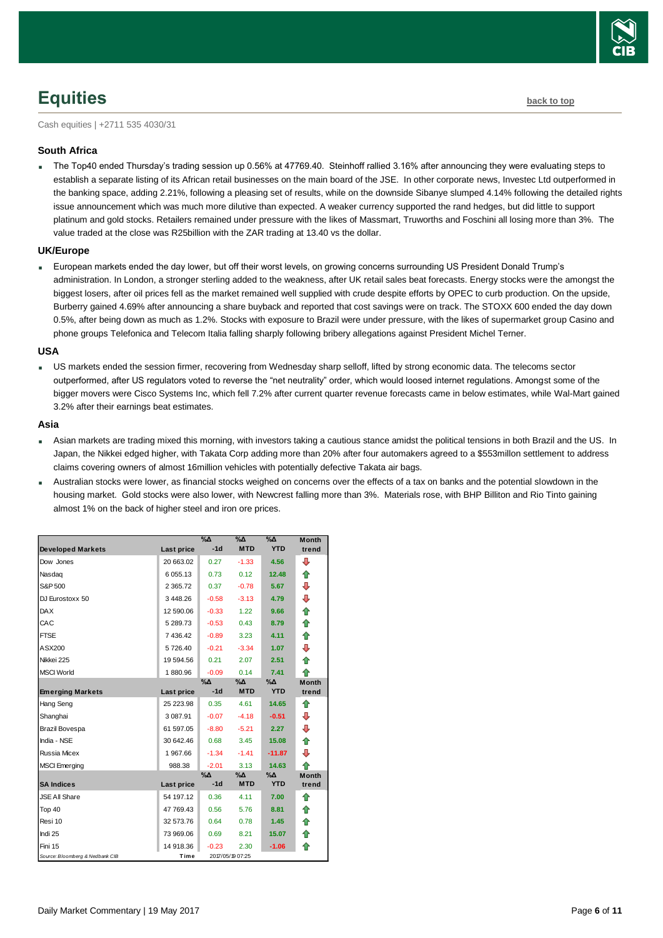

# <span id="page-5-0"></span>**Equities [back to top](#page-0-0)**

Cash equities | +2711 535 4030/31

### **South Africa**

The Top40 ended Thursday's trading session up 0.56% at 47769.40. Steinhoff rallied 3.16% after announcing they were evaluating steps to establish a separate listing of its African retail businesses on the main board of the JSE. In other corporate news, Investec Ltd outperformed in the banking space, adding 2.21%, following a pleasing set of results, while on the downside Sibanye slumped 4.14% following the detailed rights issue announcement which was much more dilutive than expected. A weaker currency supported the rand hedges, but did little to support platinum and gold stocks. Retailers remained under pressure with the likes of Massmart, Truworths and Foschini all losing more than 3%. The value traded at the close was R25billion with the ZAR trading at 13.40 vs the dollar.

### **UK/Europe**

 European markets ended the day lower, but off their worst levels, on growing concerns surrounding US President Donald Trump's administration. In London, a stronger sterling added to the weakness, after UK retail sales beat forecasts. Energy stocks were the amongst the biggest losers, after oil prices fell as the market remained well supplied with crude despite efforts by OPEC to curb production. On the upside, Burberry gained 4.69% after announcing a share buyback and reported that cost savings were on track. The STOXX 600 ended the day down 0.5%, after being down as much as 1.2%. Stocks with exposure to Brazil were under pressure, with the likes of supermarket group Casino and phone groups Telefonica and Telecom Italia falling sharply following bribery allegations against President Michel Terner.

### **USA**

 US markets ended the session firmer, recovering from Wednesday sharp selloff, lifted by strong economic data. The telecoms sector outperformed, after US regulators voted to reverse the "net neutrality" order, which would loosed internet regulations. Amongst some of the bigger movers were Cisco Systems Inc, which fell 7.2% after current quarter revenue forecasts came in below estimates, while Wal-Mart gained 3.2% after their earnings beat estimates.

### **Asia**

- Asian markets are trading mixed this morning, with investors taking a cautious stance amidst the political tensions in both Brazil and the US. In Japan, the Nikkei edged higher, with Takata Corp adding more than 20% after four automakers agreed to a \$553millon settlement to address claims covering owners of almost 16million vehicles with potentially defective Takata air bags.
- Australian stocks were lower, as financial stocks weighed on concerns over the effects of a tax on banks and the potential slowdown in the housing market. Gold stocks were also lower, with Newcrest falling more than 3%. Materials rose, with BHP Billiton and Rio Tinto gaining almost 1% on the back of higher steel and iron ore prices.

|                                 |                   | %Δ      | $\% \Delta$      | $\%$ $\Delta$ | <b>Month</b> |
|---------------------------------|-------------------|---------|------------------|---------------|--------------|
| <b>Developed Markets</b>        | Last price        | $-1d$   | <b>MTD</b>       | <b>YTD</b>    | trend        |
| Dow Jones                       | 20 663.02         | 0.27    | $-1.33$          | 4.56          | ⊕            |
| Nasdag                          | 6 055.13          | 0.73    | 0.12             | 12.48         | ⇑            |
| S&P 500                         | 2 3 6 5 . 7 2     | 0.37    | $-0.78$          | 5.67          | ⊕            |
| DJ Eurostoxx 50                 | 3448.26           | $-0.58$ | $-3.13$          | 4.79          | ⊕            |
| <b>DAX</b>                      | 12 590.06         | $-0.33$ | 1.22             | 9.66          | ⇮            |
| CAC                             | 5 289.73          | $-0.53$ | 0.43             | 8.79          | ⇮            |
| <b>FTSE</b>                     | 7 436.42          | $-0.89$ | 3.23             | 4.11          | 合            |
| ASX200                          | 5726.40           | $-0.21$ | $-3.34$          | 1.07          | ⊕            |
| Nikkei 225                      | 19 594.56         | 0.21    | 2.07             | 2.51          | ♠            |
| <b>MSCI World</b>               | 1880.96           | $-0.09$ | 0.14             | 7.41          | ♠            |
|                                 |                   | %Δ      | $\% \Delta$      | $\Delta_0$    | <b>Month</b> |
| <b>Emerging Markets</b>         | <b>Last price</b> | $-1d$   | <b>MTD</b>       | <b>YTD</b>    | trend        |
| Hang Seng                       | 25 223.98         | 0.35    | 4.61             | 14.65         | ⇑            |
| Shanghai                        | 3 087.91          | $-0.07$ | $-4.18$          | $-0.51$       | ⊕            |
| <b>Brazil Bovespa</b>           | 61 597.05         | $-8.80$ | $-5.21$          | 2.27          | ⊕            |
| India - NSE                     | 30 642.46         | 0.68    | 3.45             | 15.08         | ♠            |
| <b>Russia Micex</b>             | 1967.66           | $-1.34$ | $-1.41$          | $-11.87$      | ⊕            |
| <b>MSCI</b> Emerging            | 988.38            | $-2.01$ | 3.13             | 14.63         | ♠            |
|                                 |                   | %Δ      | $\% \Delta$      | %Δ            | <b>Month</b> |
| <b>SA Indices</b>               | Last price        | $-1d$   | <b>MTD</b>       | <b>YTD</b>    | trend        |
| <b>JSE All Share</b>            | 54 197.12         | 0.36    | 4.11             | 7.00          | ⇑            |
| Top 40                          | 47 769.43         | 0.56    | 5.76             | 8.81          | ⇑            |
| Resi 10                         | 32 573.76         | 0.64    | 0.78             | 1.45          | ⇑            |
| Indi 25                         | 73 969.06         | 0.69    | 8.21             | 15.07         | ♠            |
| Fini 15                         | 14 918.36         | $-0.23$ | 2.30             | $-1.06$       | ♠            |
| Source: Bloomberg & Nedbank CIB | Time              |         | 2017/05/19 07:25 |               |              |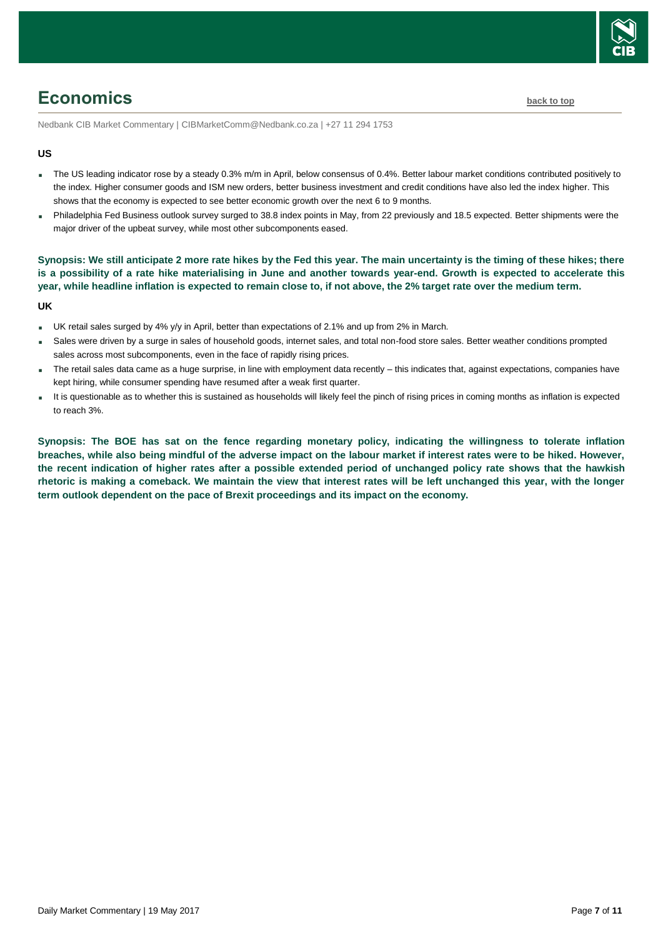

## <span id="page-6-0"></span>**Economics [back to top](#page-0-0)**

Nedbank CIB Market Commentary | CIBMarketComm@Nedbank.co.za | +27 11 294 1753

### **US**

- The US leading indicator rose by a steady 0.3% m/m in April, below consensus of 0.4%. Better labour market conditions contributed positively to the index. Higher consumer goods and ISM new orders, better business investment and credit conditions have also led the index higher. This shows that the economy is expected to see better economic growth over the next 6 to 9 months.
- Philadelphia Fed Business outlook survey surged to 38.8 index points in May, from 22 previously and 18.5 expected. Better shipments were the major driver of the upbeat survey, while most other subcomponents eased.

**Synopsis: We still anticipate 2 more rate hikes by the Fed this year. The main uncertainty is the timing of these hikes; there is a possibility of a rate hike materialising in June and another towards year-end. Growth is expected to accelerate this year, while headline inflation is expected to remain close to, if not above, the 2% target rate over the medium term.**

#### **UK**

- UK retail sales surged by 4% y/y in April, better than expectations of 2.1% and up from 2% in March.
- Sales were driven by a surge in sales of household goods, internet sales, and total non-food store sales. Better weather conditions prompted sales across most subcomponents, even in the face of rapidly rising prices.
- The retail sales data came as a huge surprise, in line with employment data recently this indicates that, against expectations, companies have kept hiring, while consumer spending have resumed after a weak first quarter.
- It is questionable as to whether this is sustained as households will likely feel the pinch of rising prices in coming months as inflation is expected to reach 3%.

**Synopsis: The BOE has sat on the fence regarding monetary policy, indicating the willingness to tolerate inflation breaches, while also being mindful of the adverse impact on the labour market if interest rates were to be hiked. However, the recent indication of higher rates after a possible extended period of unchanged policy rate shows that the hawkish rhetoric is making a comeback. We maintain the view that interest rates will be left unchanged this year, with the longer term outlook dependent on the pace of Brexit proceedings and its impact on the economy.**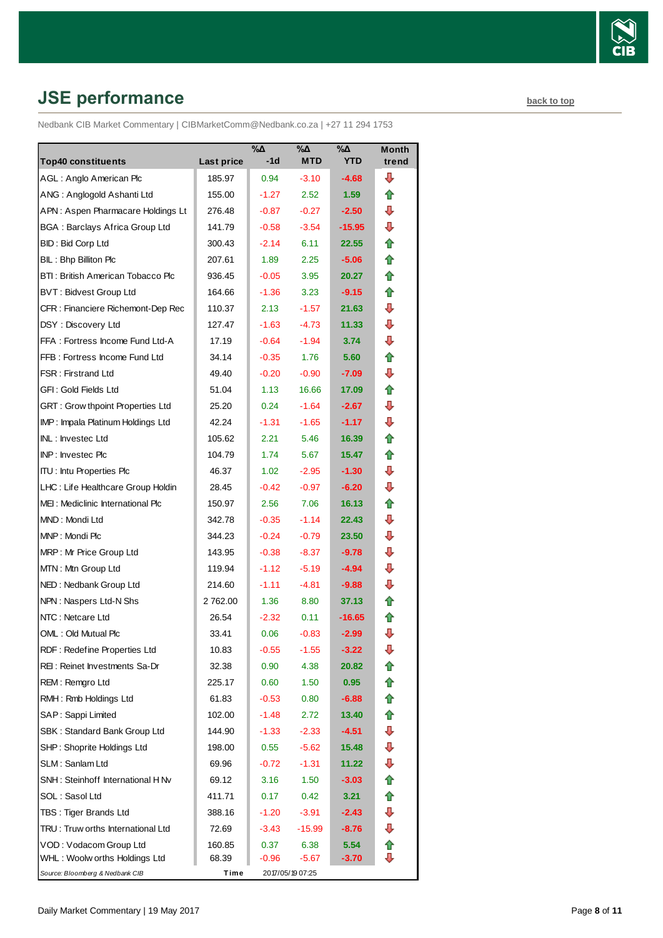

# <span id="page-7-0"></span>**JSE performance [back to top](#page-0-0)**

Nedbank CIB Market Commentary | CIBMarketComm@Nedbank.co.za | +27 11 294 1753

|                                       |            | $\sqrt{2}$ | $\sqrt{2}$       | $\sqrt{2}$ | <b>Month</b> |
|---------------------------------------|------------|------------|------------------|------------|--------------|
| <b>Top40 constituents</b>             | Last price | $-1d$      | <b>MTD</b>       | <b>YTD</b> | trend        |
| AGL: Anglo American Plc               | 185.97     | 0.94       | $-3.10$          | $-4.68$    | ⊕            |
| ANG: Anglogold Ashanti Ltd            | 155.00     | $-1.27$    | 2.52             | 1.59       | ⇑            |
| APN: Aspen Pharmacare Holdings Lt     | 276.48     | $-0.87$    | $-0.27$          | $-2.50$    | ⊕            |
| <b>BGA: Barclays Africa Group Ltd</b> | 141.79     | $-0.58$    | $-3.54$          | $-15.95$   | ⇩            |
| <b>BID: Bid Corp Ltd</b>              | 300.43     | $-2.14$    | 6.11             | 22.55      | ✿            |
| BIL: Bhp Billiton Plc                 | 207.61     | 1.89       | 2.25             | $-5.06$    | ⇑            |
| BTI: British American Tobacco Plc     | 936.45     | $-0.05$    | 3.95             | 20.27      | ⇑            |
| <b>BVT: Bidvest Group Ltd</b>         | 164.66     | $-1.36$    | 3.23             | $-9.15$    | ⇑            |
| CFR : Financiere Richemont-Dep Rec    | 110.37     | 2.13       | $-1.57$          | 21.63      | ⊕            |
| DSY: Discovery Ltd                    | 127.47     | $-1.63$    | $-4.73$          | 11.33      | ⇩            |
| FFA: Fortress Income Fund Ltd-A       | 17.19      | $-0.64$    | $-1.94$          | 3.74       | ⊕            |
| FFB: Fortress Income Fund Ltd         | 34.14      | $-0.35$    | 1.76             | 5.60       | ⇑            |
| FSR: Firstrand Ltd                    | 49.40      | $-0.20$    | $-0.90$          | $-7.09$    | ⊕            |
| GFI: Gold Fields Ltd                  | 51.04      | 1.13       | 16.66            | 17.09      | ⇑            |
| GRT : Grow thpoint Properties Ltd     | 25.20      | 0.24       | $-1.64$          | $-2.67$    | ⇩            |
| IMP: Impala Platinum Holdings Ltd     | 42.24      | $-1.31$    | $-1.65$          | $-1.17$    | ⇩            |
| INL: Investec Ltd                     | 105.62     | 2.21       | 5.46             | 16.39      | ⇑            |
| INP: Investec Plc                     | 104.79     | 1.74       | 5.67             | 15.47      | ⇑            |
| <b>ITU: Intu Properties Plc</b>       | 46.37      | 1.02       | $-2.95$          | $-1.30$    | ⇩            |
| LHC: Life Healthcare Group Holdin     | 28.45      | $-0.42$    | $-0.97$          | $-6.20$    | ⇩            |
| MEI: Mediclinic International Plc     | 150.97     | 2.56       | 7.06             | 16.13      | ⇑            |
| MND: Mondi Ltd                        | 342.78     | $-0.35$    | $-1.14$          | 22.43      | ⊕            |
| MNP: Mondi Plc                        | 344.23     | $-0.24$    | $-0.79$          | 23.50      | ⊕            |
| MRP: Mr Price Group Ltd               | 143.95     | $-0.38$    | $-8.37$          | $-9.78$    | ⊕            |
| MTN: Mtn Group Ltd                    | 119.94     | $-1.12$    | $-5.19$          | $-4.94$    | ⇩            |
| NED: Nedbank Group Ltd                | 214.60     | $-1.11$    | -4.81            | $-9.88$    | ⊕            |
| NPN: Naspers Ltd-N Shs                | 2762.00    | 1.36       | 8.80             | 37.13      | ⇑            |
| NTC: Netcare Ltd                      | 26.54      | $-2.32$    | 0.11             | $-16.65$   | 合            |
| OML: Old Mutual Plc                   | 33.41      | 0.06       | $-0.83$          | $-2.99$    | ₽            |
| RDF: Redefine Properties Ltd          | 10.83      | $-0.55$    | $-1.55$          | $-3.22$    | ⊕            |
| REI: Reinet Investments Sa-Dr         | 32.38      | 0.90       | 4.38             | 20.82      | ⇑            |
| REM: Remgro Ltd                       | 225.17     | 0.60       | 1.50             | 0.95       | ⇑            |
| RMH: Rmb Holdings Ltd                 | 61.83      | $-0.53$    | 0.80             | $-6.88$    | 合            |
| SAP: Sappi Limited                    | 102.00     | $-1.48$    | 2.72             | 13.40      | ✿            |
| SBK: Standard Bank Group Ltd          | 144.90     | $-1.33$    | $-2.33$          | $-4.51$    | ⇩            |
| SHP: Shoprite Holdings Ltd            | 198.00     | 0.55       | $-5.62$          | 15.48      | ⇩            |
| SLM: Sanlam Ltd                       | 69.96      | $-0.72$    | $-1.31$          | 11.22      | ⇩            |
| SNH: Steinhoff International H Nv     | 69.12      | 3.16       | 1.50             | $-3.03$    | ⇑            |
| SOL: Sasol Ltd                        | 411.71     | 0.17       | 0.42             | 3.21       | ✿            |
| TBS: Tiger Brands Ltd                 | 388.16     | $-1.20$    | $-3.91$          | $-2.43$    | ⊕            |
| TRU: Truw orths International Ltd     | 72.69      | $-3.43$    | $-15.99$         | $-8.76$    | ⊕            |
| VOD: Vodacom Group Ltd                | 160.85     | 0.37       | 6.38             | 5.54       | ⇑            |
| WHL: Woolw orths Holdings Ltd         | 68.39      | -0.96      | -5.67            | $-3.70$    | ⇩            |
| Source: Bloomberg & Nedbank CIB       | Time       |            | 2017/05/19 07:25 |            |              |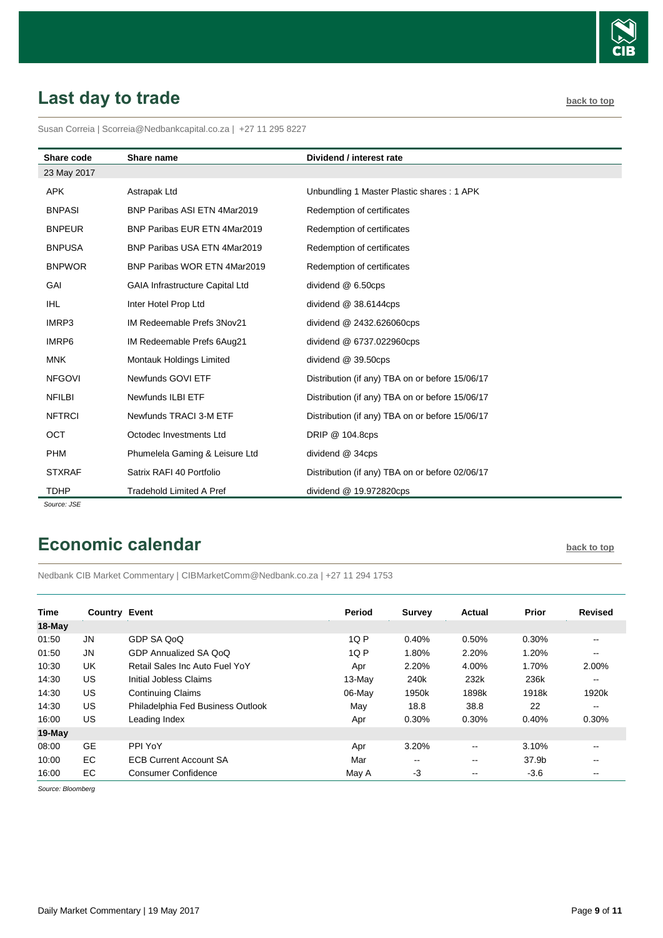

# <span id="page-8-0"></span>Last day to trade **[back to top](#page-0-0)**

Susan Correia [| Scorreia@Nedbankcapital.co.za](mailto:Scorreia@Nedbankcapital.co.za) | +27 11 295 8227

| Share code    | Share name                             | Dividend / interest rate                        |
|---------------|----------------------------------------|-------------------------------------------------|
| 23 May 2017   |                                        |                                                 |
| <b>APK</b>    | Astrapak Ltd                           | Unbundling 1 Master Plastic shares: 1 APK       |
| <b>BNPASI</b> | BNP Paribas ASI ETN 4Mar2019           | Redemption of certificates                      |
| <b>BNPEUR</b> | BNP Paribas EUR ETN 4Mar2019           | Redemption of certificates                      |
| <b>BNPUSA</b> | BNP Paribas USA ETN 4Mar2019           | Redemption of certificates                      |
| <b>BNPWOR</b> | BNP Paribas WOR ETN 4Mar2019           | Redemption of certificates                      |
| GAI           | <b>GAIA Infrastructure Capital Ltd</b> | dividend @ 6.50cps                              |
| <b>IHL</b>    | Inter Hotel Prop Ltd                   | dividend @ 38.6144cps                           |
| IMRP3         | IM Redeemable Prefs 3Nov21             | dividend @ 2432.626060cps                       |
| IMRP6         | IM Redeemable Prefs 6Aug21             | dividend @ 6737.022960cps                       |
| <b>MNK</b>    | Montauk Holdings Limited               | dividend @ 39.50cps                             |
| <b>NFGOVI</b> | Newfunds GOVI ETF                      | Distribution (if any) TBA on or before 15/06/17 |
| <b>NFILBI</b> | Newfunds ILBI ETF                      | Distribution (if any) TBA on or before 15/06/17 |
| <b>NFTRCI</b> | Newfunds TRACI 3-M ETF                 | Distribution (if any) TBA on or before 15/06/17 |
| OCT           | Octodec Investments Ltd                | DRIP @ 104.8cps                                 |
| <b>PHM</b>    | Phumelela Gaming & Leisure Ltd         | dividend @ 34cps                                |
| <b>STXRAF</b> | Satrix RAFI 40 Portfolio               | Distribution (if any) TBA on or before 02/06/17 |
| <b>TDHP</b>   | <b>Tradehold Limited A Pref</b>        | dividend @ 19.972820cps                         |

*Source: JSE*

## <span id="page-8-1"></span>**Economic calendar [back to top](#page-0-0) back to top**

Nedbank CIB Market Commentary | CIBMarketComm@Nedbank.co.za | +27 11 294 1753

| <b>Time</b> | <b>Country Event</b> |                                   | Period    | <b>Survey</b>            | Actual        | Prior  | <b>Revised</b> |
|-------------|----------------------|-----------------------------------|-----------|--------------------------|---------------|--------|----------------|
| 18-May      |                      |                                   |           |                          |               |        |                |
| 01:50       | <b>JN</b>            | GDP SA QoQ                        | 1QP       | 0.40%                    | 0.50%         | 0.30%  | $- -$          |
| 01:50       | <b>JN</b>            | GDP Annualized SA QoQ             | 1QP       | 1.80%                    | 2.20%         | 1.20%  | $- -$          |
| 10:30       | UK                   | Retail Sales Inc Auto Fuel YoY    | Apr       | 2.20%                    | 4.00%         | 1.70%  | 2.00%          |
| 14:30       | <b>US</b>            | Initial Jobless Claims            | $13$ -May | 240k                     | 232k          | 236k   | $- -$          |
| 14:30       | <b>US</b>            | <b>Continuing Claims</b>          | 06-May    | 1950k                    | 1898k         | 1918k  | 1920k          |
| 14:30       | US                   | Philadelphia Fed Business Outlook | May       | 18.8                     | 38.8          | 22     | $- -$          |
| 16:00       | US                   | Leading Index                     | Apr       | 0.30%                    | 0.30%         | 0.40%  | 0.30%          |
| 19-May      |                      |                                   |           |                          |               |        |                |
| 08:00       | <b>GE</b>            | PPI YoY                           | Apr       | 3.20%                    | $- -$         | 3.10%  | --             |
| 10:00       | EC                   | <b>ECB Current Account SA</b>     | Mar       | $\overline{\phantom{a}}$ | $\sim$ $\sim$ | 37.9b  | --             |
| 16:00       | EC                   | Consumer Confidence               | May A     | $-3$                     | $- -$         | $-3.6$ | --             |

*Source: Bloomberg*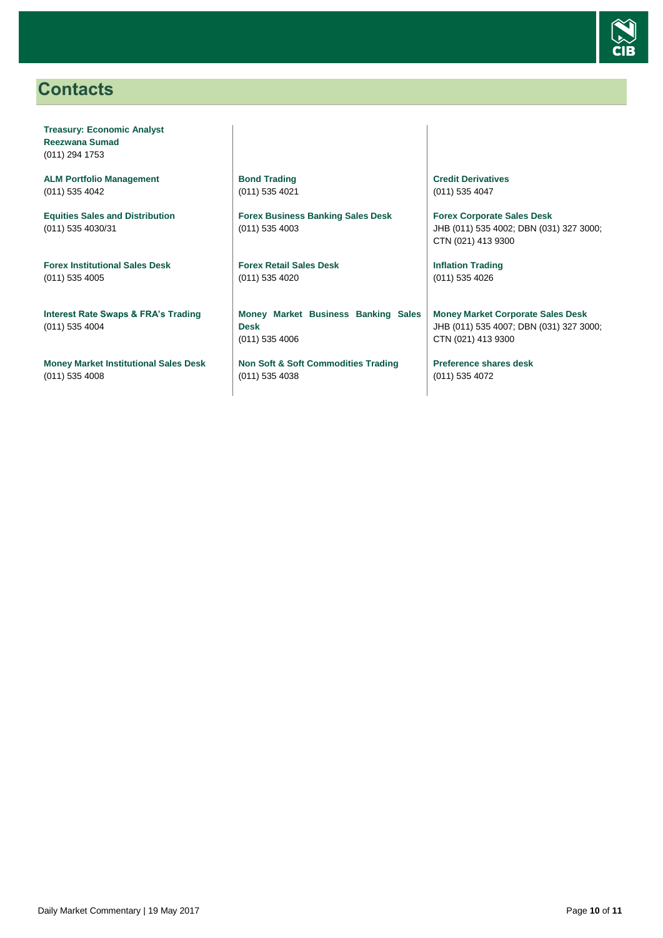

### <span id="page-9-0"></span>**Contacts**

**Treasury: Economic Analyst Reezwana Sumad** (011) 294 1753

**ALM Portfolio Management** (011) 535 4042

**Equities Sales and Distribution** (011) 535 4030/31

**Forex Institutional Sales Desk** (011) 535 4005

**Interest Rate Swaps & FRA's Trading** (011) 535 4004

**Money Market Institutional Sales Desk** (011) 535 4008

**Bond Trading** (011) 535 4021

**Forex Business Banking Sales Desk** (011) 535 4003

**Forex Retail Sales Desk** (011) 535 4020

**Money Market Business Banking Sales Desk** (011) 535 4006

**Non Soft & Soft Commodities Trading** (011) 535 4038

**Credit Derivatives**  (011) 535 4047

**Forex Corporate Sales Desk** JHB (011) 535 4002; DBN (031) 327 3000; CTN (021) 413 9300

**Inflation Trading** (011) 535 4026

**Money Market Corporate Sales Desk** JHB (011) 535 4007; DBN (031) 327 3000; CTN (021) 413 9300

**Preference shares desk** (011) 535 4072